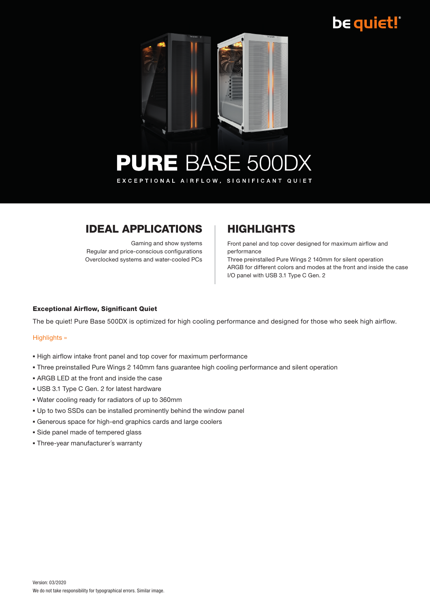## be quiet!



### **PURE BASE 500DX** EXCEPTIONAL AIRFLOW, SIGNIFICANT QUIET

### **IDEAL APPLICATIONS | HIGHLIGHTS**

Gaming and show systems Regular and price-conscious configurations Overclocked systems and water-cooled PCs

Front panel and top cover designed for maximum airflow and performance

Three preinstalled Pure Wings 2 140mm for silent operation ARGB for different colors and modes at the front and inside the case I/O panel with USB 3.1 Type C Gen. 2

### Exceptional Airflow, Significant Quiet

The be quiet! Pure Base 500DX is optimized for high cooling performance and designed for those who seek high airflow.

#### Highlights »

- High airflow intake front panel and top cover for maximum performance
- Three preinstalled Pure Wings 2 140mm fans guarantee high cooling performance and silent operation
- **.** ARGB LED at the front and inside the case
- **. USB 3.1 Type C Gen. 2 for latest hardware**
- Water cooling ready for radiators of up to 360mm
- Up to two SSDs can be installed prominently behind the window panel
- Generous space for high-end graphics cards and large coolers
- **.** Side panel made of tempered glass
- **Three-year manufacturer's warranty**